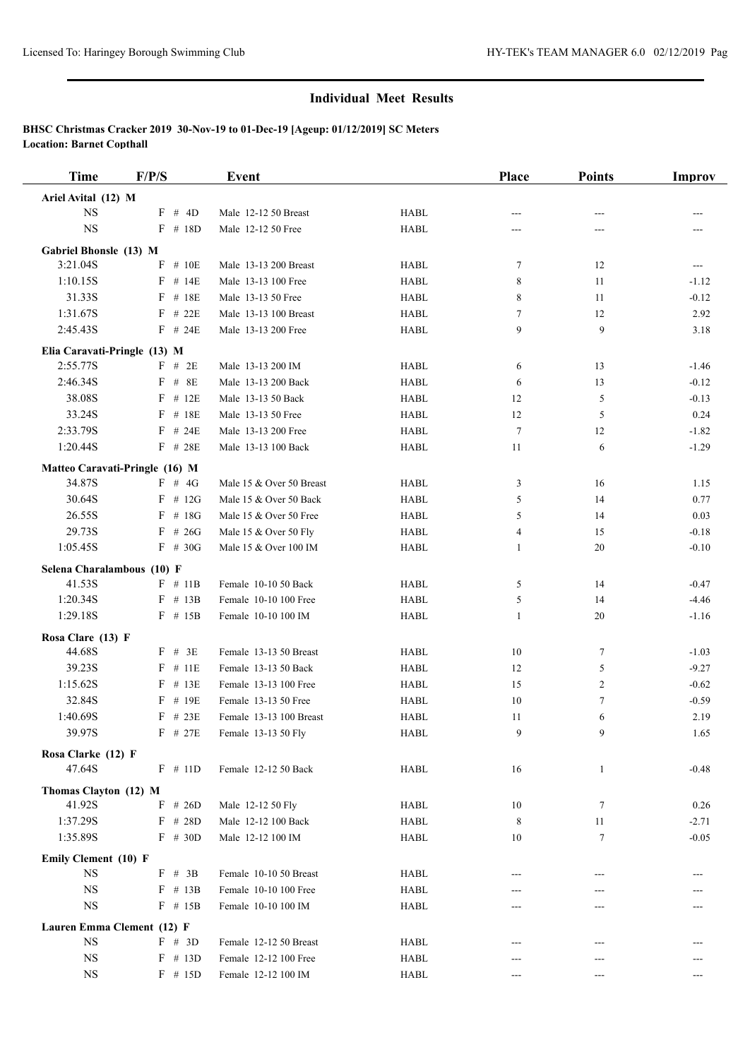| <b>Time</b>                              | F/P/S                  | Event                                              |                            | Place                      | <b>Points</b> | Improv             |
|------------------------------------------|------------------------|----------------------------------------------------|----------------------------|----------------------------|---------------|--------------------|
| Ariel Avital (12) M                      |                        |                                                    |                            |                            |               |                    |
| NS                                       | F # 4D                 | Male 12-12 50 Breast                               | <b>HABL</b>                | ---                        |               |                    |
| <b>NS</b>                                | $F$ # 18D              | Male 12-12 50 Free                                 | <b>HABL</b>                | ---                        | ---           |                    |
| Gabriel Bhonsle (13) M                   |                        |                                                    |                            |                            |               |                    |
| 3:21.04S                                 | F<br># $10E$           | Male 13-13 200 Breast                              | <b>HABL</b>                | 7                          | 12            | ---                |
| 1:10.15S                                 | $F$ # 14E              | Male 13-13 100 Free                                | <b>HABL</b>                | 8                          | 11            | $-1.12$            |
| 31.33S                                   | $F$ # 18E              | Male 13-13 50 Free                                 | <b>HABL</b>                | 8                          | 11            | $-0.12$            |
| 1:31.67S                                 | $F$ # 22E              | Male 13-13 100 Breast                              | <b>HABL</b>                | $\tau$                     | 12            | 2.92               |
| 2:45.43S                                 | $F$ # 24E              | Male 13-13 200 Free                                | <b>HABL</b>                | 9                          | 9             | 3.18               |
| Elia Caravati-Pringle (13) M             |                        |                                                    |                            |                            |               |                    |
| 2:55.77S                                 | $F$ # 2E               | Male 13-13 200 IM                                  | <b>HABL</b>                | 6                          | 13            | $-1.46$            |
| 2:46.34S                                 | $F$ # 8E               | Male 13-13 200 Back                                | <b>HABL</b>                | 6                          | 13            | $-0.12$            |
| 38.08S                                   | $F$ # 12E              | Male 13-13 50 Back                                 | <b>HABL</b>                | 12                         | 5             | $-0.13$            |
| 33.24S                                   | # 18E<br>F             | Male 13-13 50 Free                                 | <b>HABL</b>                | 12                         | 5             | 0.24               |
| 2:33.79S                                 | $F$ # 24E              | Male 13-13 200 Free                                | <b>HABL</b>                | 7                          | 12            | $-1.82$            |
| 1:20.44S                                 | $F$ # 28E              | Male 13-13 100 Back                                | <b>HABL</b>                | 11                         | 6             | $-1.29$            |
|                                          |                        |                                                    |                            |                            |               |                    |
| Matteo Caravati-Pringle (16) M<br>34.87S | $F$ # 4G               |                                                    | <b>HABL</b>                |                            |               |                    |
| 30.64S                                   | $F$ # 12G              | Male 15 & Over 50 Breast<br>Male 15 & Over 50 Back | <b>HABL</b>                | 3                          | 16<br>14      | 1.15<br>0.77       |
| 26.55S                                   | $F$ # 18G              | Male 15 & Over 50 Free                             | <b>HABL</b>                | 5<br>5                     | 14            | 0.03               |
| 29.73S                                   |                        | Male 15 & Over 50 Fly                              |                            |                            |               |                    |
| 1:05.45S                                 | $F$ # 26G<br>$F$ # 30G | Male 15 & Over 100 IM                              | <b>HABL</b><br><b>HABL</b> | 4<br>1                     | 15<br>20      | $-0.18$<br>$-0.10$ |
|                                          |                        |                                                    |                            |                            |               |                    |
| Selena Charalambous (10) F               |                        |                                                    |                            |                            |               |                    |
| 41.53S                                   | $F$ # 11B              | Female 10-10 50 Back                               | <b>HABL</b>                | 5                          | 14            | $-0.47$            |
| 1:20.34S                                 | $F$ # 13B              | Female 10-10 100 Free                              | <b>HABL</b>                | 5                          | 14            | $-4.46$            |
| 1:29.18S                                 | $F$ # 15B              | Female 10-10 100 IM                                | <b>HABL</b>                | $\mathbf{1}$               | 20            | $-1.16$            |
| Rosa Clare (13) F                        |                        |                                                    |                            |                            |               |                    |
| 44.68S                                   | $F$ # 3E               | Female 13-13 50 Breast                             | <b>HABL</b>                | 10                         | $\tau$        | $-1.03$            |
| 39.23S                                   | $F$ # 11E              | Female 13-13 50 Back                               | <b>HABL</b>                | 12                         | 5             | $-9.27$            |
| 1:15.62S                                 | $F$ # 13E              | Female 13-13 100 Free                              | <b>HABL</b>                | 15                         | 2             | $-0.62$            |
| 32.84S                                   | $F$ # 19E              | Female 13-13 50 Free                               | <b>HABL</b>                | 10                         | 7             | $-0.59$            |
| 1:40.69S                                 | $F$ # 23E              | Female 13-13 100 Breast                            | <b>HABL</b>                | 11                         | 6             | 2.19               |
| 39.97S                                   | $F$ # 27E              | Female 13-13 50 Fly                                | <b>HABL</b>                | 9                          | 9             | 1.65               |
| Rosa Clarke (12) F                       |                        |                                                    |                            |                            |               |                    |
| 47.64S                                   | $F$ # 11D              | Female 12-12 50 Back                               | <b>HABL</b>                | 16                         | $\mathbf{1}$  | $-0.48$            |
| Thomas Clayton (12) M                    |                        |                                                    |                            |                            |               |                    |
| 41.92S                                   | $F$ # 26D              | Male 12-12 50 Fly                                  | <b>HABL</b>                | 10                         | 7             | 0.26               |
| 1:37.29S                                 | $F$ # 28D              | Male 12-12 100 Back                                | <b>HABL</b>                | 8                          | 11            | $-2.71$            |
| 1:35.89S                                 | $F$ # 30D              | Male 12-12 100 IM                                  | <b>HABL</b>                | 10                         | 7             | $-0.05$            |
|                                          |                        |                                                    |                            |                            |               |                    |
| Emily Clement (10) F<br><b>NS</b>        | F # 3B                 | Female 10-10 50 Breast                             | <b>HABL</b>                | ---                        | ---           |                    |
| $_{\rm NS}$                              | $F$ # 13B              | Female 10-10 100 Free                              | <b>HABL</b>                |                            |               |                    |
| $_{\rm NS}$                              | $F$ # 15B              | Female 10-10 100 IM                                | <b>HABL</b>                |                            |               |                    |
|                                          |                        |                                                    |                            |                            |               |                    |
| Lauren Emma Clement (12) F               |                        |                                                    |                            |                            |               |                    |
| $_{\rm NS}$                              | $F \# 3D$              | Female 12-12 50 Breast                             | <b>HABL</b>                |                            |               |                    |
| <b>NS</b>                                | $F$ # 13D              | Female 12-12 100 Free                              | <b>HABL</b>                |                            |               |                    |
| <b>NS</b>                                | $F$ # 15D              | Female 12-12 100 IM                                | HABL                       | $\qquad \qquad \text{---}$ | ---           | ---                |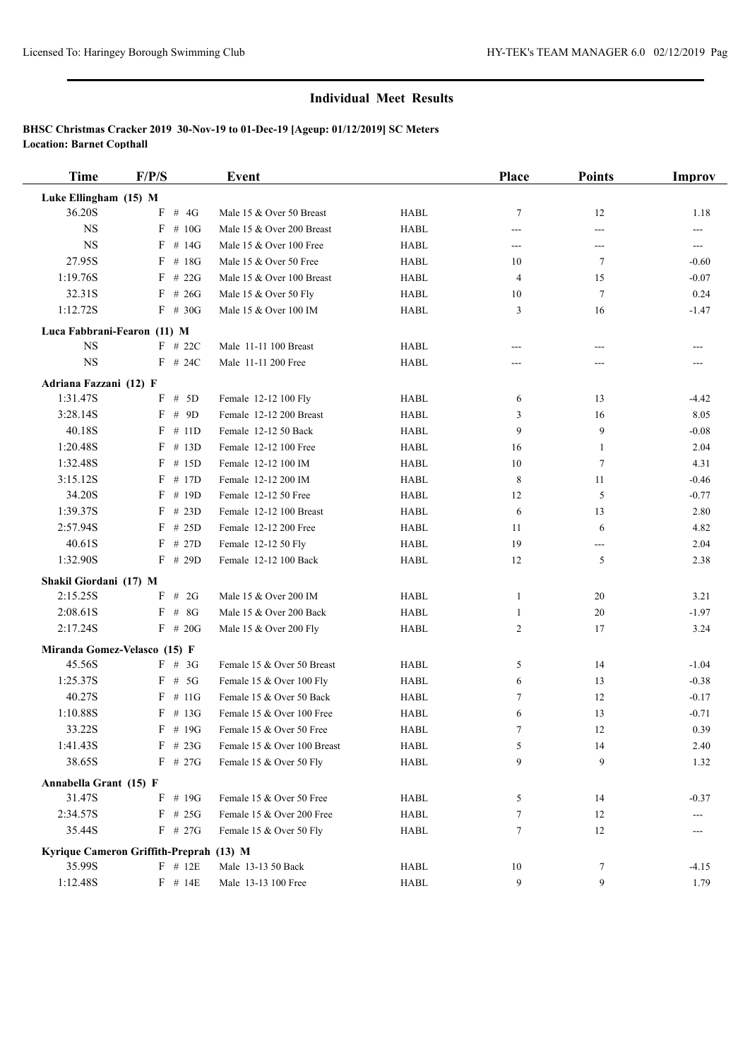| <b>Time</b>            | F/P/S                                   | Event                       |                                | Place          | <b>Points</b>    | Improv  |
|------------------------|-----------------------------------------|-----------------------------|--------------------------------|----------------|------------------|---------|
| Luke Ellingham (15) M  |                                         |                             |                                |                |                  |         |
| 36.20S                 | # $4G$<br>F                             | Male 15 & Over 50 Breast    | <b>HABL</b>                    | $\overline{7}$ | 12               | 1.18    |
| <b>NS</b>              | # 10G<br>F                              | Male 15 & Over 200 Breast   | <b>HABL</b>                    | ---            | ---              | ---     |
| <b>NS</b>              | $F$ # 14G                               | Male 15 & Over 100 Free     | <b>HABL</b>                    | $---$          | ---              | ---     |
| 27.95S                 | $F$ # 18G                               | Male 15 & Over 50 Free      | <b>HABL</b>                    | 10             | 7                | $-0.60$ |
| 1:19.76S               | $F$ # 22G                               | Male 15 & Over 100 Breast   | <b>HABL</b>                    | 4              | 15               | $-0.07$ |
| 32.31S                 | # 26G<br>F                              | Male 15 & Over 50 Fly       | <b>HABL</b>                    | 10             | $\overline{7}$   | 0.24    |
| 1:12.72S               | $F$ # 30G                               | Male 15 & Over 100 IM       | <b>HABL</b>                    | 3              | 16               | $-1.47$ |
|                        | Luca Fabbrani-Fearon (11) M             |                             |                                |                |                  |         |
| <b>NS</b>              | $F$ # 22C                               | Male 11-11 100 Breast       | <b>HABL</b>                    |                | ---              |         |
| <b>NS</b>              | $F$ # 24C                               | Male 11-11 200 Free         | <b>HABL</b>                    |                | ---              |         |
| Adriana Fazzani (12) F |                                         |                             |                                |                |                  |         |
| 1:31.47S               | F # 5D                                  | Female 12-12 100 Fly        | <b>HABL</b>                    | 6              | 13               | $-4.42$ |
| 3:28.14S               | $F$ # 9D                                | Female 12-12 200 Breast     | <b>HABL</b>                    | 3              | 16               | 8.05    |
| 40.18S                 | $F$ # 11D                               | Female 12-12 50 Back        | <b>HABL</b>                    | 9              | 9                | $-0.08$ |
| 1:20.48S               | # 13D<br>F                              | Female 12-12 100 Free       | <b>HABL</b>                    | 16             | $\mathbf{1}$     | 2.04    |
| 1:32.48S               | # 15D<br>F                              | Female 12-12 100 IM         | <b>HABL</b>                    | 10             | 7                | 4.31    |
| 3:15.12S               | $F$ # 17D                               | Female 12-12 200 IM         | <b>HABL</b>                    | 8              | 11               | $-0.46$ |
| 34.20S                 | $F$ # 19D                               | Female 12-12 50 Free        | <b>HABL</b>                    | 12             | 5                | $-0.77$ |
| 1:39.37S               | $F$ # 23D                               | Female 12-12 100 Breast     | <b>HABL</b>                    | 6              | 13               | 2.80    |
| 2:57.94S               | $F$ # 25D                               | Female 12-12 200 Free       | <b>HABL</b>                    | 11             | 6                | 4.82    |
| 40.61S                 | $F$ # 27D                               | Female 12-12 50 Fly         | <b>HABL</b>                    | 19             | ---              | 2.04    |
| 1:32.90S               | $F$ # 29D                               | Female 12-12 100 Back       | <b>HABL</b>                    | 12             | 5                | 2.38    |
| Shakil Giordani (17) M |                                         |                             |                                |                |                  |         |
| 2:15.25S               | $F$ # 2G                                | Male 15 & Over 200 IM       | <b>HABL</b>                    | 1              | 20               | 3.21    |
| 2:08.61S               | $F$ # 8G                                | Male 15 & Over 200 Back     | <b>HABL</b>                    | 1              | 20               | $-1.97$ |
| 2:17.24S               | $F$ # 20G                               | Male 15 & Over 200 Fly      | <b>HABL</b>                    | 2              | 17               | 3.24    |
|                        | Miranda Gomez-Velasco (15) F            |                             |                                |                |                  |         |
| 45.56S                 | $F \# 3G$                               | Female 15 & Over 50 Breast  | <b>HABL</b>                    | 5              | 14               | $-1.04$ |
| 1:25.37S               | $F$ # 5G                                | Female 15 & Over 100 Fly    | <b>HABL</b>                    | 6              | 13               | $-0.38$ |
| 40.27S                 | $F \# 11G$                              | Female 15 & Over 50 Back    | <b>HABL</b>                    | 7              | 12               | $-0.17$ |
| 1:10.88S               | $F$ # 13G                               | Female 15 & Over 100 Free   | <b>HABL</b>                    | 6              | 13               | $-0.71$ |
| 33.22S                 | $F$ # 19G                               | Female 15 & Over 50 Free    | HABL                           |                | 12               | 0.39    |
| 1:41.43S               | $F$ # 23G                               | Female 15 & Over 100 Breast | HABL                           | 5              | 14               | 2.40    |
| 38.65S                 | $F$ # 27G                               | Female 15 & Over 50 Fly     | ${\rm H}{\bf A}{\bf B}{\bf L}$ | 9              | 9                | 1.32    |
| Annabella Grant (15) F |                                         |                             |                                |                |                  |         |
| 31.47S                 | $F$ # 19G                               | Female 15 & Over 50 Free    | <b>HABL</b>                    | 5              | 14               | $-0.37$ |
| 2:34.57S               | $F$ # 25G                               | Female 15 & Over 200 Free   | <b>HABL</b>                    | 7              | 12               | ---     |
| 35.44S                 | $F$ # 27G                               | Female 15 & Over 50 Fly     | <b>HABL</b>                    | 7              | 12               | ---     |
|                        | Kyrique Cameron Griffith-Preprah (13) M |                             |                                |                |                  |         |
| 35.99S                 | $F$ # 12E                               | Male 13-13 50 Back          | HABL                           | 10             | 7                | $-4.15$ |
| 1:12.48S               | F # 14E                                 | Male 13-13 100 Free         | ${\rm H}{\bf A}{\bf B}{\bf L}$ | 9              | $\boldsymbol{9}$ | 1.79    |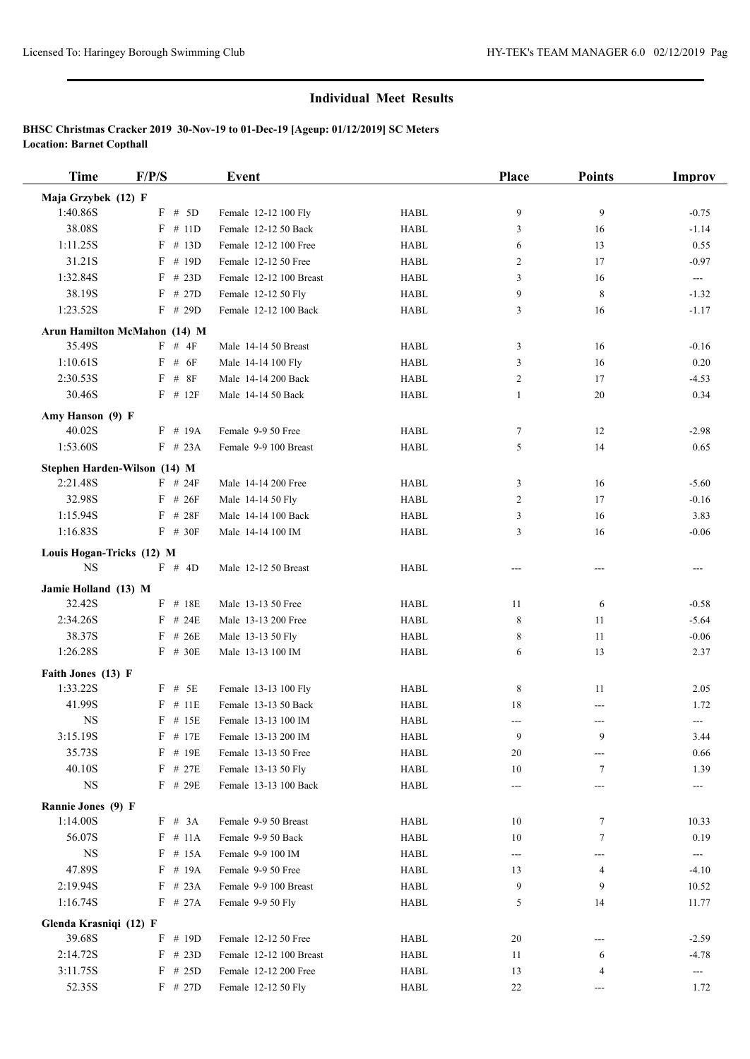| Time                      | F/P/S                        | <b>Event</b>                           |                            | Place | <b>Points</b>              | <b>Improv</b>            |
|---------------------------|------------------------------|----------------------------------------|----------------------------|-------|----------------------------|--------------------------|
| Maja Grzybek (12) F       |                              |                                        |                            |       |                            |                          |
| 1:40.86S                  | $F$ # 5D                     | Female 12-12 100 Fly                   | <b>HABL</b>                | 9     | 9                          | $-0.75$                  |
| 38.08S                    | $F$ # 11D                    | Female 12-12 50 Back                   | <b>HABL</b>                | 3     | 16                         | $-1.14$                  |
| 1:11.25S                  | $F$ # 13D                    | Female 12-12 100 Free                  | <b>HABL</b>                | 6     | 13                         | 0.55                     |
| 31.21S                    | $F$ # 19D                    | Female 12-12 50 Free                   | <b>HABL</b>                | 2     | 17                         | $-0.97$                  |
| 1:32.84S                  | $F$ # 23D                    | Female 12-12 100 Breast                | <b>HABL</b>                | 3     | 16                         | $\cdots$                 |
| 38.19S                    | $F$ # 27D                    | Female 12-12 50 Fly                    | <b>HABL</b>                | 9     | 8                          | $-1.32$                  |
| 1:23.52S                  | $F$ # 29D                    | Female 12-12 100 Back                  | <b>HABL</b>                | 3     | 16                         | $-1.17$                  |
|                           | Arun Hamilton McMahon (14) M |                                        |                            |       |                            |                          |
| 35.49S                    | $F$ # 4F                     | Male 14-14 50 Breast                   | <b>HABL</b>                | 3     | 16                         | $-0.16$                  |
| 1:10.61S                  | $F$ # $6F$                   | Male 14-14 100 Fly                     | <b>HABL</b>                | 3     | 16                         | 0.20                     |
| 2:30.53S                  | $F$ # 8F                     | Male 14-14 200 Back                    | <b>HABL</b>                | 2     | 17                         | $-4.53$                  |
| 30.46S                    | $F$ # 12 $F$                 | Male 14-14 50 Back                     | <b>HABL</b>                | 1     | 20                         | 0.34                     |
| Amy Hanson (9) F          |                              |                                        |                            |       |                            |                          |
| 40.02S                    | $F$ # 19A                    | Female 9-9 50 Free                     | <b>HABL</b>                | 7     | 12                         | $-2.98$                  |
| 1:53.60S                  | $F$ # 23A                    | Female 9-9 100 Breast                  | <b>HABL</b>                | 5     | 14                         | 0.65                     |
|                           | Stephen Harden-Wilson (14) M |                                        |                            |       |                            |                          |
| 2:21.48S                  | $F$ # 24F                    | Male 14-14 200 Free                    | <b>HABL</b>                | 3     | 16                         | $-5.60$                  |
| 32.98S                    | $F$ # 26F                    | Male 14-14 50 Fly                      | <b>HABL</b>                | 2     | 17                         | $-0.16$                  |
| 1:15.94S                  | $F$ # 28F                    | Male 14-14 100 Back                    | <b>HABL</b>                | 3     | 16                         | 3.83                     |
| 1:16.83S                  | $F$ # 30F                    | Male 14-14 100 IM                      | <b>HABL</b>                | 3     | 16                         | $-0.06$                  |
| Louis Hogan-Tricks (12) M |                              |                                        |                            |       |                            |                          |
| <b>NS</b>                 | F # 4D                       | Male 12-12 50 Breast                   | <b>HABL</b>                | ---   | ---                        | $---$                    |
|                           |                              |                                        |                            |       |                            |                          |
| Jamie Holland (13) M      | $F$ # 18E                    |                                        |                            |       |                            |                          |
| 32.42S                    |                              | Male 13-13 50 Free                     | <b>HABL</b>                | 11    | 6                          | $-0.58$                  |
| 2:34.26S                  | $F$ # 24E                    | Male 13-13 200 Free                    | <b>HABL</b>                | 8     | 11                         | $-5.64$                  |
| 38.37S<br>1:26.28S        | $F$ # 26E<br>$F$ # 30E       | Male 13-13 50 Fly<br>Male 13-13 100 IM | <b>HABL</b><br><b>HABL</b> | 8     | 11<br>13                   | $-0.06$<br>2.37          |
|                           |                              |                                        |                            | 6     |                            |                          |
| Faith Jones (13) F        |                              |                                        |                            |       |                            |                          |
| 1:33.22S                  | $F$ # 5E                     | Female 13-13 100 Fly                   | <b>HABL</b>                | 8     | 11                         | 2.05                     |
| 41.99S                    | $F$ # 11E                    | Female 13-13 50 Back                   | <b>HABL</b>                | 18    | ---                        | 1.72                     |
| <b>NS</b>                 | $F$ # 15E                    | Female 13-13 100 IM                    | <b>HABL</b>                | $---$ | $---$                      | $\hspace{0.05cm} \ldots$ |
| 3:15.19S                  | $F$ # 17E                    | Female 13-13 200 IM                    | <b>HABL</b>                | 9     | 9                          | 3.44                     |
| 35.73S                    | $F$ # 19E                    | Female 13-13 50 Free                   | <b>HABL</b>                | 20    |                            | 0.66                     |
| 40.10S<br>$_{\rm NS}$     | $F$ # 27E<br>$F$ # 29E       | Female 13-13 50 Fly                    | HABL                       | 10    | 7                          | 1.39                     |
|                           |                              | Female 13-13 100 Back                  | HABL                       | ---   | ---                        | ---                      |
| Rannie Jones (9) F        |                              |                                        |                            |       |                            |                          |
| 1:14.00S                  | $F \# 3A$                    | Female 9-9 50 Breast                   | <b>HABL</b>                | 10    | 7                          | 10.33                    |
| 56.07S                    | $F$ # 11A                    | Female 9-9 50 Back                     | HABL                       | 10    | $\tau$                     | 0.19                     |
| <b>NS</b>                 | $F$ # 15A                    | Female 9-9 100 IM                      | HABL                       | $---$ | ---                        | $\hspace{0.05cm} \ldots$ |
| 47.89S                    | $F$ # 19A                    | Female 9-9 50 Free                     | HABL                       | 13    | 4                          | $-4.10$                  |
| 2:19.94S                  | $F$ # 23A                    | Female 9-9 100 Breast                  | <b>HABL</b>                | 9     | 9                          | 10.52                    |
| 1:16.74S                  | $F$ # 27A                    | Female 9-9 50 Fly                      | <b>HABL</b>                | 5     | 14                         | 11.77                    |
| Glenda Krasniqi (12) F    |                              |                                        |                            |       |                            |                          |
| 39.68S                    | $F$ # 19D                    | Female 12-12 50 Free                   | HABL                       | 20    | ---                        | $-2.59$                  |
| 2:14.72S                  | $F$ # 23D                    | Female 12-12 100 Breast                | <b>HABL</b>                | 11    | 6                          | $-4.78$                  |
| 3:11.75S                  | $F$ # 25D                    | Female 12-12 200 Free                  | HABL                       | 13    | 4                          | $\qquad \qquad \cdots$   |
| 52.35S                    | $F$ # 27D                    | Female 12-12 50 Fly                    | HABL                       | 22    | $\qquad \qquad \text{---}$ | 1.72                     |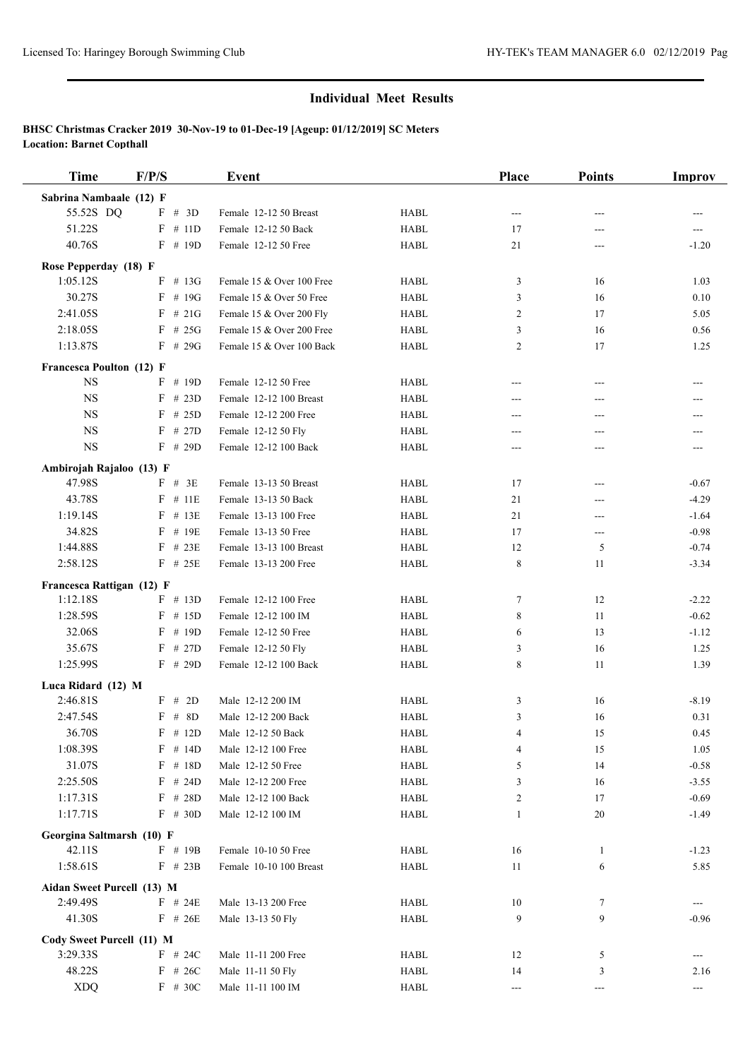| Time                                   | F/P/S                | Event                     |             | Place          | <b>Points</b> | <b>Improv</b>            |
|----------------------------------------|----------------------|---------------------------|-------------|----------------|---------------|--------------------------|
| Sabrina Nambaale (12) F                |                      |                           |             |                |               |                          |
| 55.52S DQ                              | F # 3D               | Female 12-12 50 Breast    | <b>HABL</b> | $---$          | ---           |                          |
| 51.22S                                 | $F$ # 11D            | Female 12-12 50 Back      | <b>HABL</b> | 17             | ---           | ---                      |
| 40.76S                                 | $F$ # 19D            | Female 12-12 50 Free      | <b>HABL</b> | 21             | ---           | $-1.20$                  |
| Rose Pepperday (18) F                  |                      |                           |             |                |               |                          |
| 1:05.12S                               | $F$ # 13G            | Female 15 & Over 100 Free | <b>HABL</b> | 3              | 16            | 1.03                     |
| 30.27S                                 | $F$ # 19G            | Female 15 & Over 50 Free  | <b>HABL</b> | 3              | 16            | 0.10                     |
| 2:41.05S                               | $F$ # 21G            | Female 15 & Over 200 Fly  | <b>HABL</b> | 2              | 17            | 5.05                     |
| 2:18.05S                               | $F$ # 25G            | Female 15 & Over 200 Free | <b>HABL</b> | 3              | 16            | 0.56                     |
| 1:13.87S                               | $F$ # 29G            | Female 15 & Over 100 Back | <b>HABL</b> | $\overline{c}$ | 17            | 1.25                     |
| Francesca Poulton (12) F               |                      |                           |             |                |               |                          |
| <b>NS</b>                              | $F$ # 19D            | Female 12-12 50 Free      | <b>HABL</b> | $---$          | ---           | ---                      |
| <b>NS</b>                              | $F$ # 23D            | Female 12-12 100 Breast   | <b>HABL</b> | ---            | ---           |                          |
| <b>NS</b>                              | F<br># 25D           | Female 12-12 200 Free     | <b>HABL</b> | ---            | ---           | ---                      |
| <b>NS</b>                              | # 27D<br>F           | Female 12-12 50 Fly       | <b>HABL</b> | ---            | ---           | ---                      |
| <b>NS</b>                              | $F$ # 29D            | Female 12-12 100 Back     | <b>HABL</b> | $---$          | ---           | $---$                    |
| Ambirojah Rajaloo (13) F               |                      |                           |             |                |               |                          |
| 47.98S                                 | $F$ # 3E             | Female 13-13 50 Breast    | <b>HABL</b> | 17             | ---           | $-0.67$                  |
| 43.78S                                 | F<br># 11E           | Female 13-13 50 Back      | <b>HABL</b> | 21             | ---           | $-4.29$                  |
| 1:19.14S                               | $F$ # 13E            | Female 13-13 100 Free     | <b>HABL</b> | 21             | ---           | $-1.64$                  |
| 34.82S                                 | $F$ # 19E            | Female 13-13 50 Free      | <b>HABL</b> | 17             | ---           | $-0.98$                  |
| 1:44.88S                               | $F$ # 23E            | Female 13-13 100 Breast   | <b>HABL</b> | 12             | 5             | $-0.74$                  |
| 2:58.12S                               | $F$ # 25E            | Female 13-13 200 Free     | <b>HABL</b> | 8              | 11            | $-3.34$                  |
| Francesca Rattigan (12) F              |                      |                           |             |                |               |                          |
| 1:12.18S                               | $F$ # 13D            | Female 12-12 100 Free     | <b>HABL</b> | 7              | 12            | $-2.22$                  |
| 1:28.59S                               | $F$ # 15D            | Female 12-12 100 IM       | <b>HABL</b> | 8              | 11            | $-0.62$                  |
| 32.06S                                 | $F$ # 19D            | Female 12-12 50 Free      | <b>HABL</b> | 6              | 13            | $-1.12$                  |
| 35.67S                                 | $F$ # 27D            | Female 12-12 50 Fly       | <b>HABL</b> | 3              | 16            | 1.25                     |
| 1:25.99S                               | $F$ # 29D            | Female 12-12 100 Back     | <b>HABL</b> | 8              | 11            | 1.39                     |
| Luca Ridard (12) M                     |                      |                           |             |                |               |                          |
| 2:46.81S                               | F # 2D               | Male 12-12 200 IM         | <b>HABL</b> | 3              | 16            | $-8.19$                  |
| 2:47.54S                               | $F$ # 8D             | Male 12-12 200 Back       | <b>HABL</b> | 3              | 16            | 0.31                     |
| 36.70S                                 | $\mathbf F$<br># 12D | Male 12-12 50 Back        | <b>HABL</b> | 4              | 15            | 0.45                     |
| 1:08.39S                               | $F$ # 14D            | Male 12-12 100 Free       | HABL        | 4              | 15            | 1.05                     |
| 31.07S                                 | $F$ # 18D            | Male 12-12 50 Free        | <b>HABL</b> | 5              | 14            | $-0.58$                  |
| 2:25.50S                               | $F$ # 24D            | Male 12-12 200 Free       | HABL        | 3              | 16            | $-3.55$                  |
| 1:17.31S                               | F<br># 28D           | Male 12-12 100 Back       | <b>HABL</b> | 2              | 17            | $-0.69$                  |
| 1:17.71S                               | $F$ # 30D            | Male 12-12 100 IM         | <b>HABL</b> | 1              | 20            | $-1.49$                  |
| Georgina Saltmarsh (10) F              |                      |                           |             |                |               |                          |
| 42.11S                                 | $F$ # 19B            | Female 10-10 50 Free      | HABL        | 16             | 1             | $-1.23$                  |
| 1:58.61S                               | $F$ # 23B            | Female 10-10 100 Breast   | <b>HABL</b> | 11             | 6             | 5.85                     |
|                                        |                      |                           |             |                |               |                          |
| Aidan Sweet Purcell (13) M<br>2:49.49S | $F$ # 24E            | Male 13-13 200 Free       | HABL        | 10             | $\tau$        | ---                      |
| 41.30S                                 | $F$ # 26E            | Male 13-13 50 Fly         | <b>HABL</b> | 9              | 9             | $-0.96$                  |
|                                        |                      |                           |             |                |               |                          |
| Cody Sweet Purcell (11) M              |                      |                           |             |                |               |                          |
| 3:29.33S                               | $F$ # 24C            | Male 11-11 200 Free       | <b>HABL</b> | 12             | 5             | ---                      |
| 48.22S                                 | $F$ # 26C            | Male 11-11 50 Fly         | HABL        | 14             | 3             | 2.16                     |
| <b>XDQ</b>                             | $F$ # 30C            | Male 11-11 100 IM         | <b>HABL</b> | $\sim$ $\sim$  | ---           | $\overline{\phantom{a}}$ |